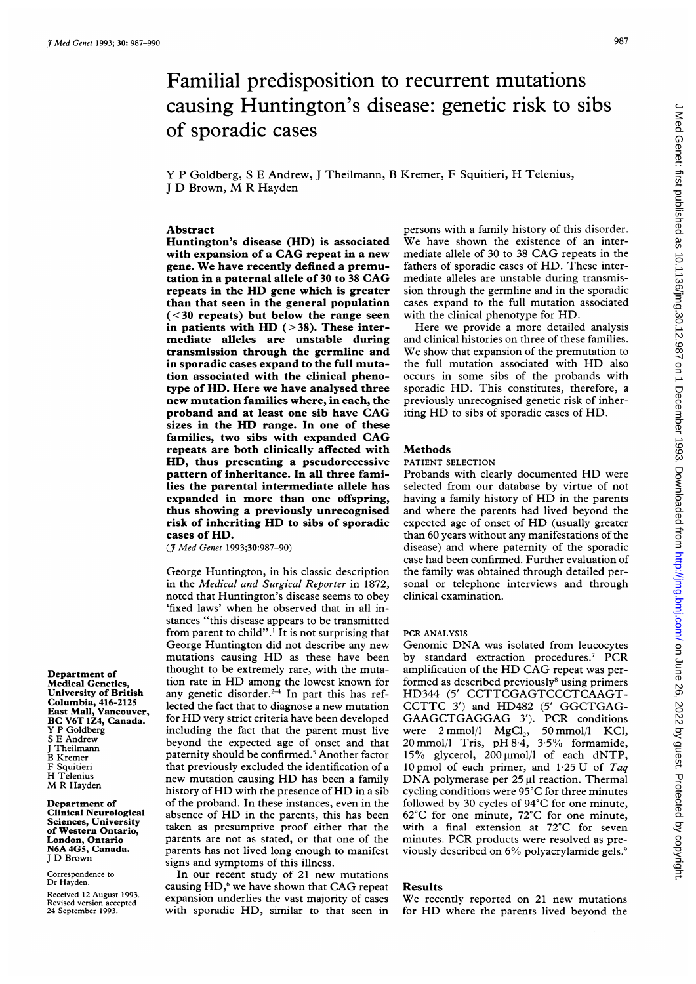# Familial predisposition to recurrent mutations causing Huntington's disease: genetic risk to sibs of sporadic cases

Y P Goldberg, <sup>S</sup> E Andrew, <sup>J</sup> Theilmann, B Kremer, F Squitieri, H Telenius, <sup>J</sup> D Brown, M R Hayden

## Abstract

Huntington's disease (HD) is associated with expansion of <sup>a</sup> CAG repeat in <sup>a</sup> new gene. We have recently defined a premutation in <sup>a</sup> paternal allele of <sup>30</sup> to <sup>38</sup> CAG repeats in the HD gene which is greater than that seen in the general population  $( $30$  repeats) but below the range seen$ in patients with HD  $( >38)$ . These intermediate alleles are unstable during transmission through the germline and in sporadic cases expand to the full mutation associated with the clinical phenotype of HD. Here we have analysed three new mutation families where, in each, the proband and at least one sib have CAG sizes in the HD range. In one of these families, two sibs with expanded CAG repeats are both clinically affected with HD, thus presenting a pseudorecessive pattern of inheritance. In all three families the parental intermediate allele has expanded in more than one offspring, thus showing a previously unrecognised risk of inheriting HD to sibs of sporadic cases of HD.

(J7 Med Genet 1993;30:987-90)

George Huntington, in his classic description in the Medical and Surgical Reporter in 1872, noted that Huntington's disease seems to obey 'fixed laws' when he observed that in all instances "this disease appears to be transmitted from parent to child".' It is not surprising that George Huntington did not describe any new mutations causing HD as these have been thought to be extremely rare, with the mutation rate in HD among the lowest known for any genetic disorder.<sup>2-4</sup> In part this has reflected the fact that to diagnose a new mutation for HD very strict criteria have been developed including the fact that the parent must live beyond the expected age of onset and that paternity should be confirmed.<sup>5</sup> Another factor that previously excluded the identification of a new mutation causing HD has been <sup>a</sup> family history of HD with the presence of HD in <sup>a</sup> sib of the proband. In these instances, even in the absence of HD in the parents, this has been taken as presumptive proof either that the parents are not as stated, or that one of the parents has not lived long enough to manifest signs and symptoms of this illness.

In our recent study of 21 new mutations causing HD,<sup>6</sup> we have shown that CAG repeat expansion underlies the vast majority of cases with sporadic HD, similar to that seen in persons with a family history of this disorder. We have shown the existence of an intermediate allele of <sup>30</sup> to <sup>38</sup> CAG repeats in the fathers of sporadic cases of HD. These intermediate alleles are unstable during transmission through the germline and in the sporadic cases expand to the full mutation associated with the clinical phenotype for HD.

Here we provide <sup>a</sup> more detailed analysis and clinical histories on three of these families. We show that expansion of the premutation to the full mutation associated with HD also occurs in some sibs of the probands with sporadic HD. This constitutes, therefore, <sup>a</sup> previously unrecognised genetic risk of inheriting HD to sibs of sporadic cases of HD.

#### Methods

#### PATIENT SELECTION

Probands with clearly documented HD were selected from our database by virtue of not having <sup>a</sup> family history of HD in the parents and where the parents had lived beyond the expected age of onset of HD (usually greater than 60 years without any manifestations of the disease) and where paternity of the sporadic case had been confirmed. Further evaluation of the family was obtained through detailed personal or telephone interviews and through clinical examination.

#### PCR ANALYSIS

Genomic DNA was isolated from leucocytes by standard extraction procedures.7 PCR amplification of the HD CAG repeat was performed as described previously<sup>8</sup> using primers HD344 (5' CCTTCGAGTCCCTCAAGT-CCTTC <sup>3</sup>') and HD482 (5' GGCTGAG-GAAGCTGAGGAG <sup>3</sup>'). PCR conditions were  $2 \text{ mmol/l}$  MgCl<sub>2</sub>, 50 mmol/l KCl,  $20$  mmol/l Tris, pH  $8.4$ ,  $3.5\%$  formamide, 15% glycerol, 200 µmol/l of each dNTP, 10 pmol of each primer, and  $1.25$  U of Taq DNA polymerase per 25 µl reaction. Thermal cycling conditions were 95'C for three minutes followed by 30 cycles of 94'C for one minute, 62'C for one minute, 72'C for one minute, with a final extension at 72'C for seven minutes. PCR products were resolved as previously described on 6% polyacrylamide gels.<sup>9</sup>

## Results

We recently reported on <sup>21</sup> new mutations for HD where the parents lived beyond the

Department of Medical Genetics, University of British Columbia, 416-2125 East Mall, Vancouver, BC V6T 124, Canada. Y P Goldberg S E Andrew J Theilmann B Kremer F Squitieri H Telenius M R Hayden

Department of Clinical Neurological Sciences, University of Western Ontario, London, Ontario N6A 4G5, Canada. <sup>J</sup> D Brown

Correspondence to Dr Hayden.

Received 12 August 1993. Revised version accepted 24 September 1993.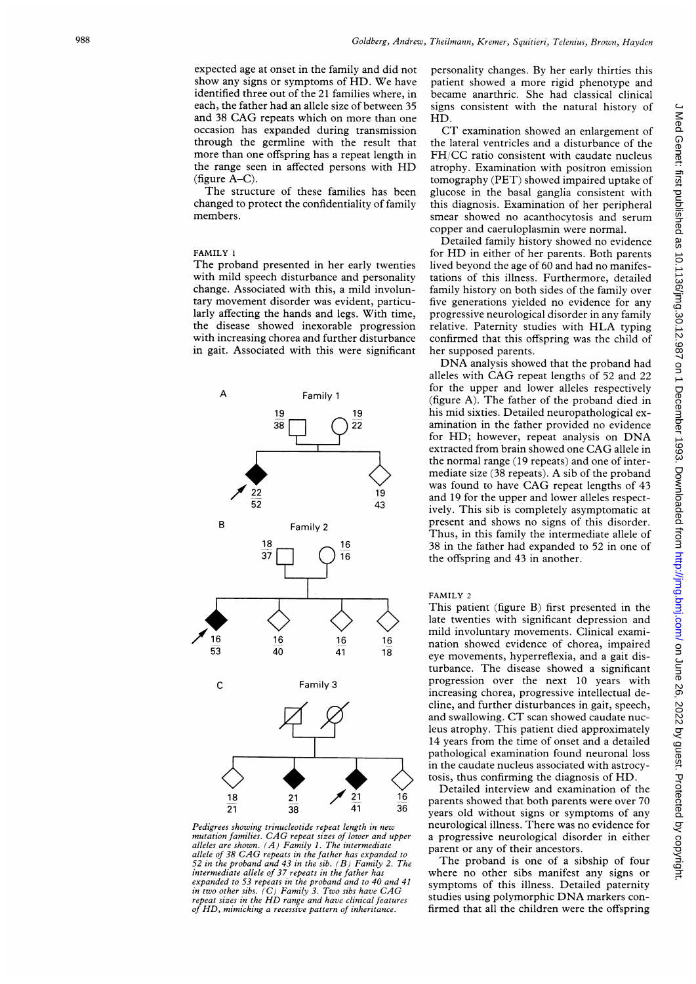expected age at onset in the family and did not show any signs or symptoms of HD. We have identified three out of the 21 families where, in each, the father had an allele size of between 35 and <sup>38</sup> CAG repeats which on more than one occasion has expanded during transmission through the germline with the result that more than one offspring has a repeat length in the range seen in affected persons with HD  $(figure A-C)$ .

The structure of these families has been changed to protect the confidentiality of family members.

#### FAMILY 1

The proband presented in her early twenties with mild speech disturbance and personality change. Associated with this, a mild involuntary movement disorder was evident, particularly affecting the hands and legs. With time, the disease showed inexorable progression with increasing chorea and further disturbance in gait. Associated with this were significant



Pedigrees showing trinucleotide repeat length in new mutation families. CAG repeat sizes of lower and upper alleles are shown. (A) Family 1. The intermediate allele of <sup>38</sup> CAG repeats in the father has expanded to 52 in the proband and 43 in the sib. (B) Family 2. The intermediate allele of 37 repeats in the father has expanded to 53 repeats in the proband and to 40 and 41 in two other sibs.  $(C)$  Family 3. Two sibs have  $CAG$ repeat sizes in the HD range and have clinical features of HD, mimicking a recessive pattern of inheritance.

personality changes. By her early thirties this patient showed <sup>a</sup> more rigid phenotype and became anarthric. She had classical clinical signs consistent with the natural history of HD.

CT examination showed an enlargement of the lateral ventricles and a disturbance of the FH/CC ratio consistent with caudate nucleus atrophy. Examination with positron emission tomography (PET) showed impaired uptake of glucose in the basal ganglia consistent with this diagnosis. Examination of her peripheral smear showed no acanthocytosis and serum copper and caeruloplasmin were normal.

Detailed family history showed no evidence for HD in either of her parents. Both parents lived beyond the age of <sup>60</sup> and had no manifestations of this illness. Furthermore, detailed family history on both sides of the family over five generations yielded no evidence for any progressive neurological disorder in any family relative. Paternity studies with HLA typing confirmed that this offspring was the child of her supposed parents.

DNA analysis showed that the proband had alleles with CAG repeat lengths of <sup>52</sup> and <sup>22</sup> for the upper and lower alleles respectively (figure A). The father of the proband died in his mid sixties. Detailed neuropathological examination in the father provided no evidence for HD; however, repeat analysis on DNA extracted from brain showed one CAG allele in the normal range (19 repeats) and one of intermediate size (38 repeats). A sib of the proband was found to have CAG repeat lengths of <sup>43</sup> and 19 for the upper and lower alleles respectively. This sib is completely asymptomatic at present and shows no signs of this disorder. Thus, in this family the intermediate allele of 38 in the father had expanded to 52 in one of the offspring and 43 in another.

### FAMILY 2

This patient (figure B) first presented in the late twenties with significant depression and mild involuntary movements. Clinical examination showed evidence of chorea, impaired eye movements, hyperreflexia, and a gait disturbance. The disease showed <sup>a</sup> significant progression over the next 10 years with increasing chorea, progressive intellectual decline, and further disturbances in gait, speech, and swallowing. CT scan showed caudate nucleus atrophy. This patient died approximately 14 years from the time of onset and a detailed pathological examination found neuronal loss in the caudate nucleus associated with astrocytosis, thus confirming the diagnosis of HD.

Detailed interview and examination of the parents showed that both parents were over 70 years old without signs or symptoms of any neurological illness. There was no evidence for a progressive neurological disorder in either parent or any of their ancestors.

The proband is one of a sibship of four where no other sibs manifest any signs or symptoms of this illness. Detailed paternity studies using polymorphic DNA markers confirmed that all the children were the offspring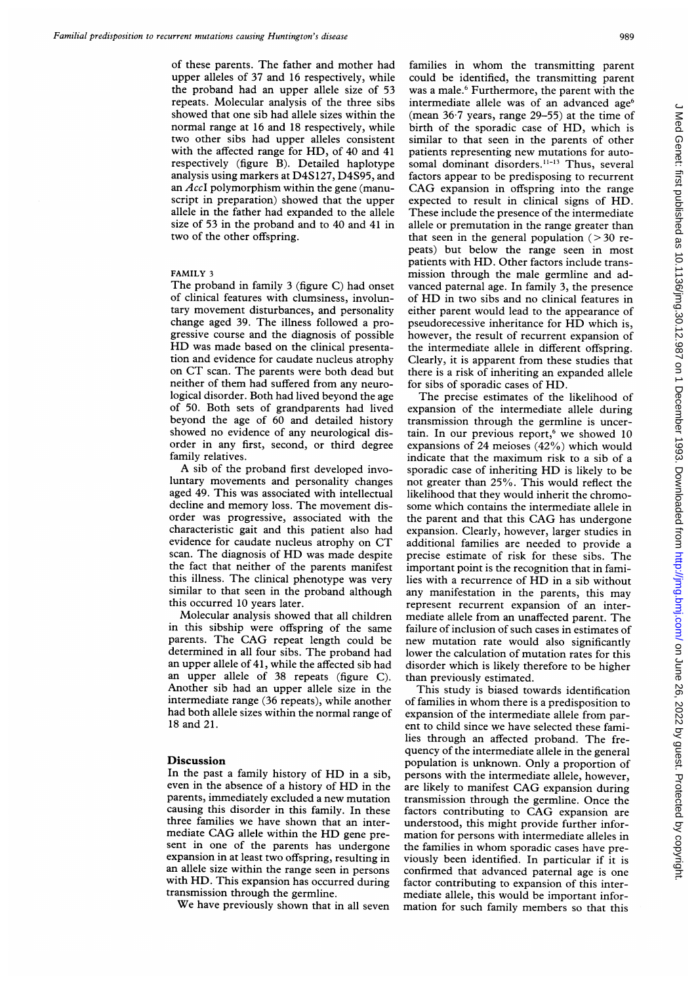of these parents. The father and mother had upper alleles of 37 and 16 respectively, while the proband had an upper allele size of 53 repeats. Molecular analysis of the three sibs showed that one sib had allele sizes within the normal range at 16 and 18 respectively, while two other sibs had upper alleles consistent with the affected range for HD, of 40 and <sup>41</sup> respectively (figure B). Detailed haplotype analysis using markers at D4S127, D4S95, and an AccI polymorphism within the gene (manuscript in preparation) showed that the upper allele in the father had expanded to the allele size of 53 in the proband and to 40 and 41 in two of the other offspring.

# FAMILY <sup>3</sup>

The proband in family <sup>3</sup> (figure C) had onset of clinical features with clumsiness, involuntary movement disturbances, and personality change aged 39. The illness followed <sup>a</sup> progressive course and the diagnosis of possible HD was made based on the clinical presentation and evidence for caudate nucleus atrophy on CT scan. The parents were both dead but neither of them had suffered from any neurological disorder. Both had lived beyond the age of 50. Both sets of grandparents had lived beyond the age of 60 and detailed history showed no evidence of any neurological disorder in any first, second, or third degree family relatives.

A sib of the proband first developed involuntary movements and personality changes aged 49. This was associated with intellectual decline and memory loss. The movement disorder was progressive, associated with the characteristic gait and this patient also had evidence for caudate nucleus atrophy on CT scan. The diagnosis of HD was made despite the fact that neither of the parents manifest this illness. The clinical phenotype was very similar to that seen in the proband although this occurred 10 years later.

Molecular analysis showed that all children in this sibship were offspring of the same parents. The CAG repeat length could be determined in all four sibs. The proband had an upper allele of 41, while the affected sib had an upper allele of 38 repeats (figure C). Another sib had an upper allele size in the intermediate range (36 repeats), while another had both allele sizes within the normal range of 18 and 21.

## Discussion

In the past <sup>a</sup> family history of HD in <sup>a</sup> sib, even in the absence of <sup>a</sup> history of HD in the parents, immediately excluded a new mutation causing this disorder in this family. In these three families we have shown that an intermediate CAG allele within the HD gene present in one of the parents has undergone expansion in at least two offspring, resulting in an allele size within the range seen in persons with HD. This expansion has occurred during transmission through the germline.

We have previously shown that in all seven

intermediate allele was of an advanced age<sup>6</sup> (mean  $36.7$  years, range  $29-55$ ) at the time of birth of the sporadic case of HD, which is similar to that seen in the parents of other patients representing new mutations for autosomal dominant disorders.<sup>11-13</sup> Thus, several factors appear to be predisposing to recurrent CAG expansion in offspring into the range expected to result in clinical signs of HD. These include the presence of the intermediate allele or premutation in the range greater than that seen in the general population  $(>30$  repeats) but below the range seen in most patients with HD. Other factors include transmission through the male germline and advanced paternal age. In family 3, the presence of HD in two sibs and no clinical features in either parent would lead to the appearance of pseudorecessive inheritance for HD which is, however, the result of recurrent expansion of the intermediate allele in different offspring. Clearly, it is apparent from these studies that there is a risk of inheriting an expanded allele for sibs of sporadic cases of HD.

The precise estimates of the likelihood of expansion of the intermediate allele during transmission through the germline is uncertain. In our previous report, $6$  we showed 10 expansions of 24 meioses (42%) which would indicate that the maximum risk to <sup>a</sup> sib of <sup>a</sup> sporadic case of inheriting HD is likely to be not greater than 25%. This would reflect the likelihood that they would inherit the chromosome which contains the intermediate allele in the parent and that this CAG has undergone expansion. Clearly, however, larger studies in additional families are needed to provide a precise estimate of risk for these sibs. The important point is the recognition that in families with <sup>a</sup> recurrence of HD in <sup>a</sup> sib without any manifestation in the parents, this may represent recurrent expansion of an intermediate allele from an unaffected parent. The failure of inclusion of such cases in estimates of new mutation rate would also significantly lower the calculation of mutation rates for this disorder which is likely therefore to be higher than previously estimated.

This study is biased towards identification of families in whom there is <sup>a</sup> predisposition to expansion of the intermediate allele from parent to child since we have selected these families through an affected proband. The frequency of the intermediate allele in the general population is unknown. Only a proportion of persons with the intermediate allele, however, are likely to manifest CAG expansion during transmission through the germline. Once the factors contributing to CAG expansion are understood, this might provide further information for persons with intermediate alleles in the families in whom sporadic cases have previously been identified. In particular if it is confirmed that advanced paternal age is one factor contributing to expansion of this intermediate allele, this would be important information for such family members so that this